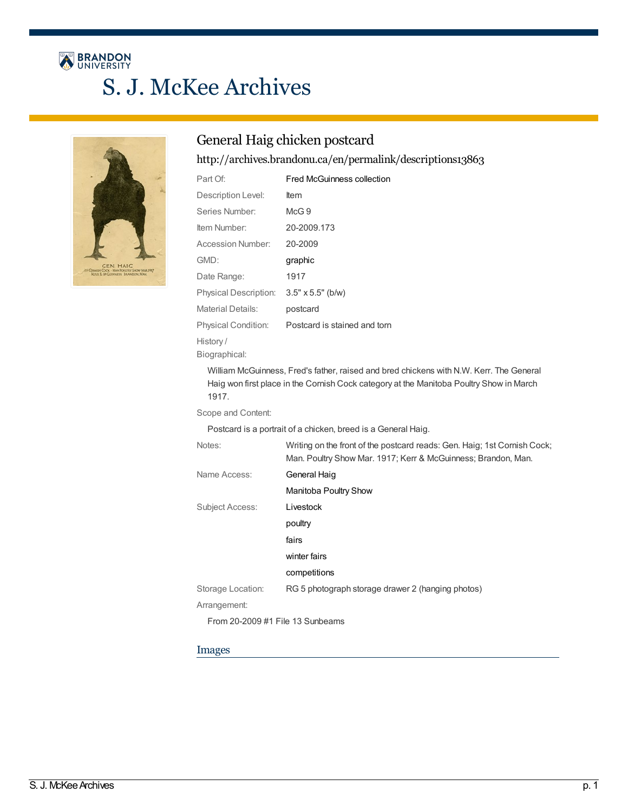# BRANDON S. J. McKee Archives



# General Haig chicken postcard

<http://archives.brandonu.ca/en/permalink/descriptions13863>

| Part Of:              | <b>Fred McGuinness collection</b> |
|-----------------------|-----------------------------------|
| Description Level:    | ltem                              |
| Series Number:        | McG.9                             |
| Item Number:          | 20-2009.173                       |
| Accession Number:     | 20-2009                           |
| GMD:                  | graphic                           |
| Date Range:           | 1917                              |
| Physical Description: | $3.5" \times 5.5"$ (b/w)          |
| Material Details:     | postcard                          |
| Physical Condition:   | Postcard is stained and torn      |
| History/              |                                   |
| Biographical:         |                                   |

William McGuinness, Fred's father, raised and bred chickens with N.W. Kerr. The General Haig won first place in the Cornish Cock category at the Manitoba Poultry Show in March 1917.

Scope and Content:

Postcard is a portrait of a chicken, breed is a General Haig.

| Notes:                           | Writing on the front of the postcard reads: Gen. Haig; 1st Cornish Cock;<br>Man. Poultry Show Mar. 1917; Kerr & McGuinness; Brandon, Man. |
|----------------------------------|-------------------------------------------------------------------------------------------------------------------------------------------|
| Name Access:                     | General Haig                                                                                                                              |
|                                  | Manitoba Poultry Show                                                                                                                     |
| Subject Access:                  | Livestock                                                                                                                                 |
|                                  | poultry                                                                                                                                   |
|                                  | fairs                                                                                                                                     |
|                                  | winter fairs                                                                                                                              |
|                                  | competitions                                                                                                                              |
| Storage Location:                | RG 5 photograph storage drawer 2 (hanging photos)                                                                                         |
| Arrangement:                     |                                                                                                                                           |
| From 20-2009 #1 File 13 Sunbeams |                                                                                                                                           |

### Images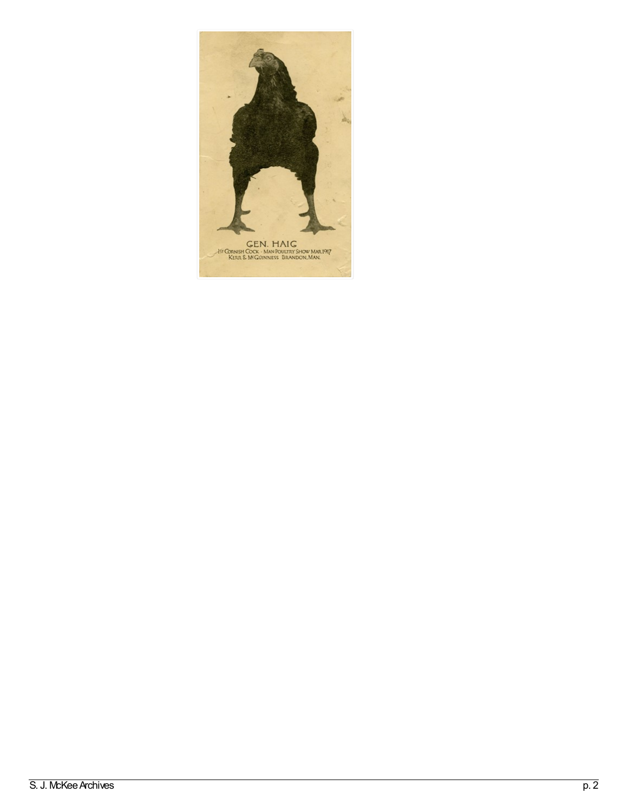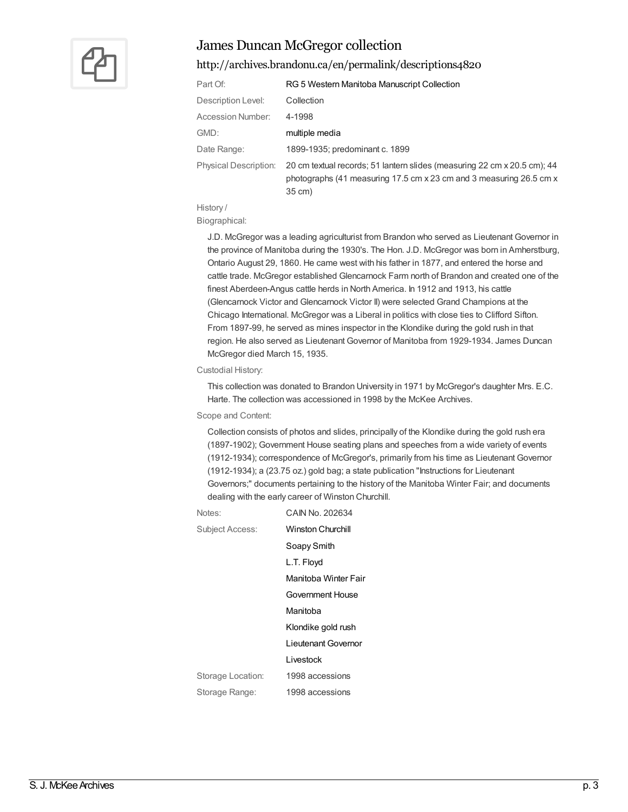

# James Duncan McGregor collection

### <http://archives.brandonu.ca/en/permalink/descriptions4820>

| Part Of:                     | RG 5 Western Manitoba Manuscript Collection                                                                                                               |
|------------------------------|-----------------------------------------------------------------------------------------------------------------------------------------------------------|
| Description Level:           | Collection                                                                                                                                                |
| Accession Number:            | 4-1998                                                                                                                                                    |
| GMD:                         | multiple media                                                                                                                                            |
| Date Range:                  | 1899-1935; predominant c. 1899                                                                                                                            |
| <b>Physical Description:</b> | 20 cm textual records; 51 lantern slides (measuring 22 cm x 20.5 cm); 44<br>photographs (41 measuring 17.5 cm x 23 cm and 3 measuring 26.5 cm x<br>35 cm) |

History /

Biographical:

J.D. McGregor was a leading agriculturist from Brandon who served as Lieutenant Governor in the province of Manitoba during the 1930's. The Hon. J.D. McGregor was born in Amherstburg, Ontario August 29, 1860. He came west with his father in 1877, and entered the horse and cattle trade. McGregor established Glencarnock Farm north of Brandon and created one of the finest Aberdeen-Angus cattle herds in North America. In 1912 and 1913, his cattle (Glencarnock Victor and Glencarnock Victor II) were selected Grand Champions at the Chicago International. McGregor was a Liberal in politics with close ties to Clifford Sifton. From 1897-99, he served as mines inspector in the Klondike during the gold rush in that region. He also served as Lieutenant Governor of Manitoba from 1929-1934. James Duncan McGregor died March 15, 1935.

#### Custodial History:

This collection was donated to Brandon University in 1971 by McGregor's daughter Mrs. E.C. Harte. The collection was accessioned in 1998 by the McKee Archives.

#### Scope and Content:

Collection consists of photos and slides, principally of the Klondike during the gold rush era (1897-1902); Government House seating plans and speeches from a wide variety of events (1912-1934); correspondence of McGregor's, primarily from his time as Lieutenant Governor (1912-1934); a (23.75 oz.) gold bag; a state publication "Instructions for Lieutenant Governors;" documents pertaining to the history of the Manitoba Winter Fair; and documents dealing with the early career of Winston Churchill.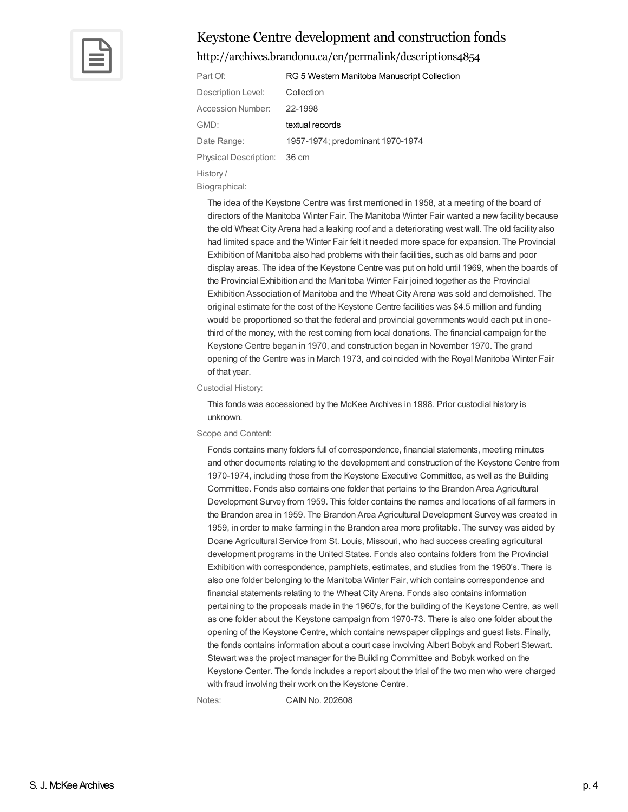

## Keystone Centre development and construction fonds

### <http://archives.brandonu.ca/en/permalink/descriptions4854>

| Part Of:                    | RG 5 Western Manitoba Manuscript Collection |
|-----------------------------|---------------------------------------------|
| Description Level:          | Collection                                  |
| <b>Accession Number:</b>    | 22-1998                                     |
| GMD:                        | textual records                             |
| Date Range:                 | 1957-1974; predominant 1970-1974            |
| Physical Description: 36 cm |                                             |
| History/                    |                                             |

Biographical:

The idea of the Keystone Centre was first mentioned in 1958, at a meeting of the board of directors of the Manitoba Winter Fair. The Manitoba Winter Fair wanted a new facility because the old Wheat City Arena had a leaking roof and a deteriorating west wall. The old facility also had limited space and the Winter Fair felt it needed more space for expansion. The Provincial Exhibition of Manitoba also had problems with their facilities, such as old barns and poor display areas. The idea of the Keystone Centre was put on hold until 1969, when the boards of the Provincial Exhibition and the Manitoba Winter Fair joined together as the Provincial Exhibition Association of Manitoba and the Wheat City Arena was sold and demolished. The original estimate for the cost of the Keystone Centre facilities was \$4.5 million and funding would be proportioned so that the federal and provincial governments would each put in onethird of the money, with the rest coming from local donations. The financial campaign for the Keystone Centre began in 1970, and construction began in November 1970. The grand opening of the Centre was in March 1973, and coincided with the Royal Manitoba Winter Fair of that year.

#### Custodial History:

This fonds was accessioned by the McKee Archives in 1998. Prior custodial history is unknown.

#### Scope and Content:

Fonds contains many folders full of correspondence, financial statements, meeting minutes and other documents relating to the development and construction of the Keystone Centre from 1970-1974, including those from the Keystone Executive Committee, as well as the Building Committee. Fonds also contains one folder that pertains to the Brandon Area Agricultural Development Survey from 1959. This folder contains the names and locations of all farmers in the Brandon area in 1959. The Brandon Area Agricultural Development Survey was created in 1959, in order to make farming in the Brandon area more profitable. The survey was aided by Doane Agricultural Service from St. Louis, Missouri, who had success creating agricultural development programs in the United States. Fonds also contains folders from the Provincial Exhibition with correspondence, pamphlets, estimates, and studies from the 1960's. There is also one folder belonging to the Manitoba Winter Fair, which contains correspondence and financial statements relating to the Wheat City Arena. Fonds also contains information pertaining to the proposals made in the 1960's, for the building of the Keystone Centre, as well as one folder about the Keystone campaign from 1970-73. There is also one folder about the opening of the Keystone Centre, which contains newspaper clippings and guest lists. Finally, the fonds contains information about a court case involving Albert Bobyk and Robert Stewart. Stewart was the project manager for the Building Committee and Bobyk worked on the Keystone Center. The fonds includes a report about the trial of the two men who were charged with fraud involving their work on the Keystone Centre.

Notes: CAIN No. 202608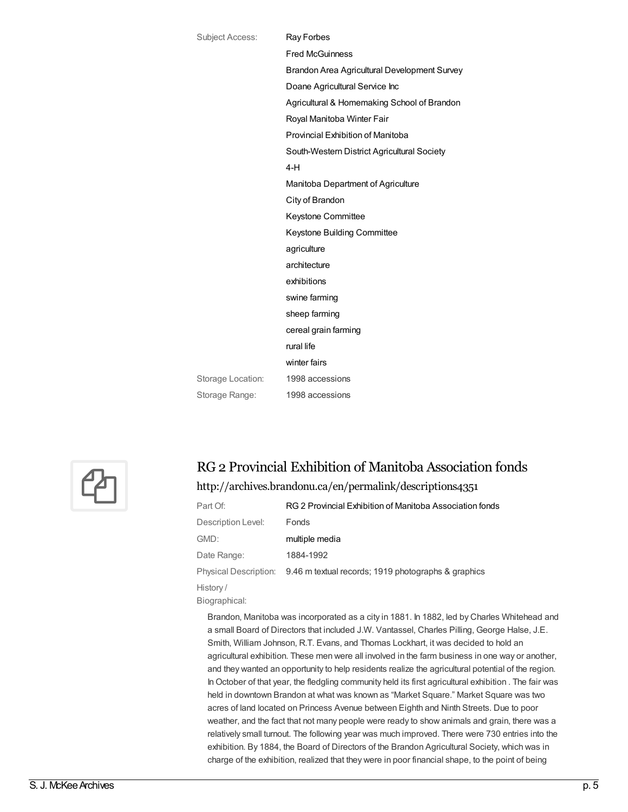| <b>Subject Access:</b> | <b>Ray Forbes</b>                            |
|------------------------|----------------------------------------------|
|                        | <b>Fred McGuinness</b>                       |
|                        | Brandon Area Agricultural Development Survey |
|                        | Doane Agricultural Service Inc               |
|                        | Agricultural & Homemaking School of Brandon  |
|                        | Royal Manitoba Winter Fair                   |
|                        | Provincial Exhibition of Manitoba            |
|                        | South-Western District Agricultural Society  |
|                        | $4-H$                                        |
|                        | Manitoba Department of Agriculture           |
|                        | City of Brandon                              |
|                        | Keystone Committee                           |
|                        | Keystone Building Committee                  |
|                        | agriculture                                  |
|                        | architecture                                 |
|                        | exhibitions                                  |
|                        | swine farming                                |
|                        | sheep farming                                |
|                        | cereal grain farming                         |
|                        | rural life                                   |
|                        | winter fairs                                 |
| Storage Location:      | 1998 accessions                              |
| Storage Range:         | 1998 accessions                              |
|                        |                                              |



# RG 2 Provincial Exhibition of Manitoba Association fonds

### <http://archives.brandonu.ca/en/permalink/descriptions4351>

| Part Of:              | RG 2 Provincial Exhibition of Manitoba Association fonds |
|-----------------------|----------------------------------------------------------|
| Description Level:    | <b>Fonds</b>                                             |
| GMD:                  | multiple media                                           |
| Date Range:           | 1884-1992                                                |
| Physical Description: | 9.46 m textual records; 1919 photographs & graphics      |
| History/              |                                                          |

Biographical:

Brandon, Manitoba was incorporated as a city in 1881. In 1882, led by Charles Whitehead and a small Board of Directors that included J.W. Vantassel, Charles Pilling, George Halse, J.E. Smith, William Johnson, R.T. Evans, and Thomas Lockhart, it was decided to hold an agricultural exhibition. These men were all involved in the farm business in one way or another, and they wanted an opportunity to help residents realize the agricultural potential of the region. In October of that year, the fledgling community held its first agricultural exhibition . The fair was held in downtown Brandon at what was known as "Market Square." Market Square was two acres of land located on Princess Avenue between Eighth and Ninth Streets. Due to poor weather, and the fact that not many people were ready to show animals and grain, there was a relatively small turnout. The following year was much improved. There were 730 entries into the exhibition. By 1884, the Board of Directors of the Brandon Agricultural Society, which was in charge of the exhibition, realized that they were in poor financial shape, to the point of being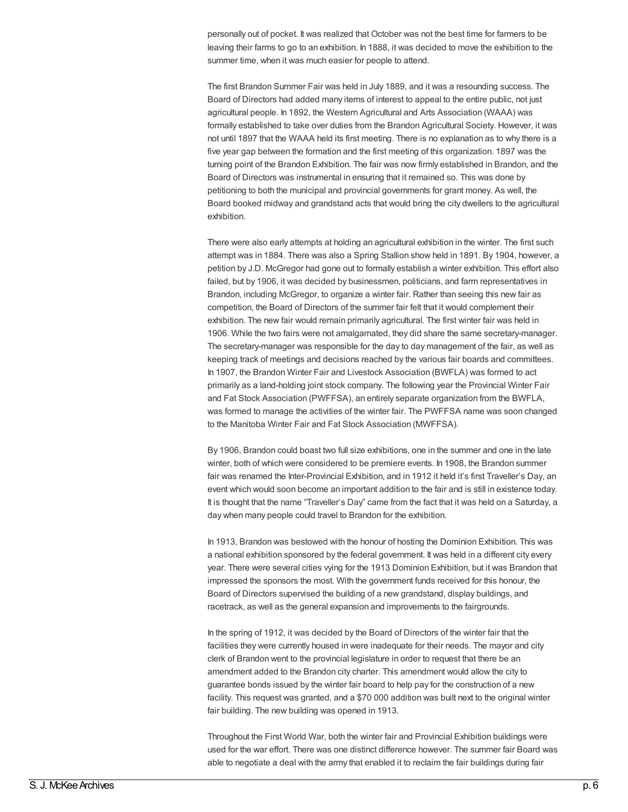personally out of pocket. It was realized that October was not the best time for farmers to be leaving their farms to go to an exhibition. In 1888, it was decided to move the exhibition to the summer time, when it was much easier for people to attend.

The first Brandon Summer Fair was held in July 1889, and it was a resounding success. The Board of Directors had added many items of interest to appeal to the entire public, not just agricultural people. In 1892, the Western Agricultural and Arts Association (WAAA) was formally established to take over duties from the Brandon Agricultural Society. However, it was not until 1897 that the WAAA held its first meeting. There is no explanation as to why there is a five year gap between the formation and the first meeting of this organization. 1897 was the turning point of the Brandon Exhibition. The fair was now firmly established in Brandon, and the Board of Directors was instrumental in ensuring that it remained so. This was done by petitioning to both the municipal and provincial governments for grant money. As well, the Board booked midway and grandstand acts that would bring the city dwellers to the agricultural exhibition.

There were also early attempts at holding an agricultural exhibition in the winter. The first such attempt was in 1884. There was also a Spring Stallion show held in 1891. By 1904, however, a petition by J.D. McGregor had gone out to formally establish a winter exhibition. This effort also failed, but by 1906, it was decided by businessmen, politicians, and farm representatives in Brandon, including McGregor, to organize a winter fair. Rather than seeing this new fair as competition, the Board of Directors of the summer fair felt that it would complement their exhibition. The new fair would remain primarily agricultural. The first winter fair was held in 1906. While the two fairs were not amalgamated, they did share the same secretary-manager. The secretary-manager was responsible for the day to day management of the fair, as well as keeping track of meetings and decisions reached by the various fair boards and committees. In 1907, the Brandon Winter Fair and Livestock Association (BWFLA) was formed to act primarily as a land-holding joint stock company. The following year the Provincial Winter Fair and Fat Stock Association (PWFFSA), an entirely separate organization from the BWFLA, was formed to manage the activities of the winter fair. The PWFFSA name was soon changed to the Manitoba Winter Fair and Fat Stock Association (MWFFSA).

By 1906, Brandon could boast two full size exhibitions, one in the summer and one in the late winter, both of which were considered to be premiere events. In 1908, the Brandon summer fair was renamed the Inter-Provincial Exhibition, and in 1912 it held it's first Traveller's Day, an event which would soon become an important addition to the fair and is still in existence today. It is thought that the name "Traveller's Day" came from the fact that it was held on a Saturday, a day when many people could travel to Brandon for the exhibition.

In 1913, Brandon was bestowed with the honour of hosting the Dominion Exhibition. This was a national exhibition sponsored by the federal government. It was held in a different city every year. There were several cities vying for the 1913 Dominion Exhibition, but it was Brandon that impressed the sponsors the most. With the government funds received for this honour, the Board of Directors supervised the building of a new grandstand, display buildings, and racetrack, as well as the general expansion and improvements to the fairgrounds.

In the spring of 1912, it was decided by the Board of Directors of the winter fair that the facilities they were currently housed in were inadequate for their needs. The mayor and city clerk of Brandon went to the provincial legislature in order to request that there be an amendment added to the Brandon city charter. This amendment would allow the city to guarantee bonds issued by the winter fair board to help pay for the construction of a new facility. This request was granted, and a \$70 000 addition was built next to the original winter fair building. The new building was opened in 1913.

Throughout the First World War, both the winter fair and Provincial Exhibition buildings were used for the war effort. There was one distinct difference however. The summer fair Board was able to negotiate a deal with the army that enabled it to reclaim the fair buildings during fair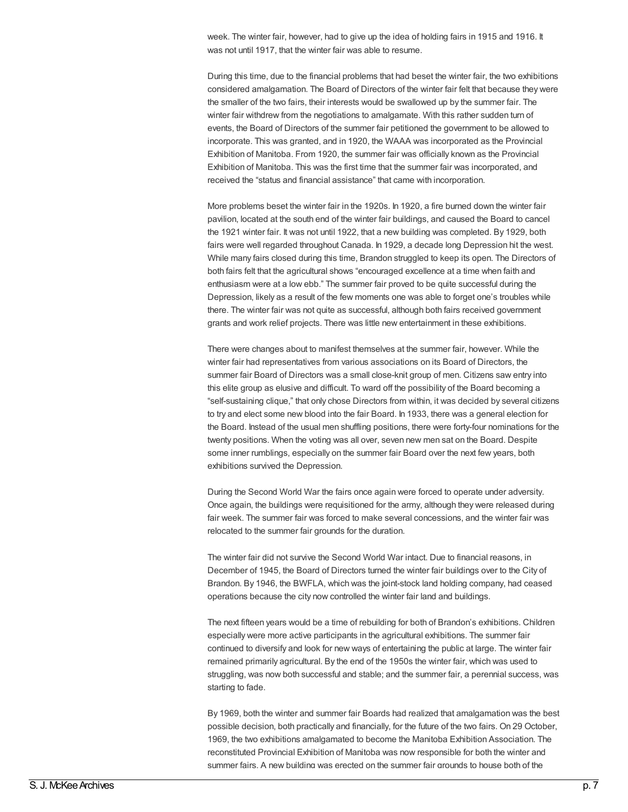week. The winter fair, however, had to give up the idea of holding fairs in 1915 and 1916. It was not until 1917, that the winter fair was able to resume.

During this time, due to the financial problems that had beset the winter fair, the two exhibitions considered amalgamation. The Board of Directors of the winter fair felt that because they were the smaller of the two fairs, their interests would be swallowed up by the summer fair. The winter fair withdrew from the negotiations to amalgamate. With this rather sudden turn of events, the Board of Directors of the summer fair petitioned the government to be allowed to incorporate. This was granted, and in 1920, the WAAA was incorporated as the Provincial Exhibition of Manitoba. From 1920, the summer fair was officially known as the Provincial Exhibition of Manitoba. This was the first time that the summer fair was incorporated, and received the "status and financial assistance" that came with incorporation.

More problems beset the winter fair in the 1920s. In 1920, a fire burned down the winter fair pavilion, located at the south end of the winter fair buildings, and caused the Board to cancel the 1921 winter fair. It was not until 1922, that a new building was completed. By 1929, both fairs were well regarded throughout Canada. In 1929, a decade long Depression hit the west. While many fairs closed during this time, Brandon struggled to keep its open. The Directors of both fairs felt that the agricultural shows "encouraged excellence at a time when faith and enthusiasm were at a low ebb." The summer fair proved to be quite successful during the Depression, likely as a result of the few moments one was able to forget one's troubles while there. The winter fair was not quite as successful, although both fairs received government grants and work relief projects. There was little new entertainment in these exhibitions.

There were changes about to manifest themselves at the summer fair, however. While the winter fair had representatives from various associations on its Board of Directors, the summer fair Board of Directors was a small close-knit group of men. Citizens saw entry into this elite group as elusive and difficult. To ward off the possibility of the Board becoming a "self-sustaining clique," that only chose Directors from within, it was decided by several citizens to try and elect some new blood into the fair Board. In 1933, there was a general election for the Board. Instead of the usual men shuffling positions, there were forty-four nominations for the twenty positions. When the voting was all over, seven new men sat on the Board. Despite some inner rumblings, especially on the summer fair Board over the next few years, both exhibitions survived the Depression.

During the Second World War the fairs once again were forced to operate under adversity. Once again, the buildings were requisitioned for the army, although they were released during fair week. The summer fair was forced to make several concessions, and the winter fair was relocated to the summer fair grounds for the duration.

The winter fair did not survive the Second World War intact. Due to financial reasons, in December of 1945, the Board of Directors turned the winter fair buildings over to the City of Brandon. By 1946, the BWFLA, which was the joint-stock land holding company, had ceased operations because the city now controlled the winter fair land and buildings.

The next fifteen years would be a time of rebuilding for both of Brandon's exhibitions. Children especially were more active participants in the agricultural exhibitions. The summer fair continued to diversify and look for new ways of entertaining the public at large. The winter fair remained primarily agricultural. By the end of the 1950s the winter fair, which was used to struggling, was now both successful and stable; and the summer fair, a perennial success, was starting to fade.

By 1969, both the winter and summer fair Boards had realized that amalgamation was the best possible decision, both practically and financially, for the future of the two fairs. On 29 October, 1969, the two exhibitions amalgamated to become the Manitoba Exhibition Association. The reconstituted Provincial Exhibition of Manitoba was now responsible for both the winter and summer fairs. A new building was erected on the summer fair grounds to house both of the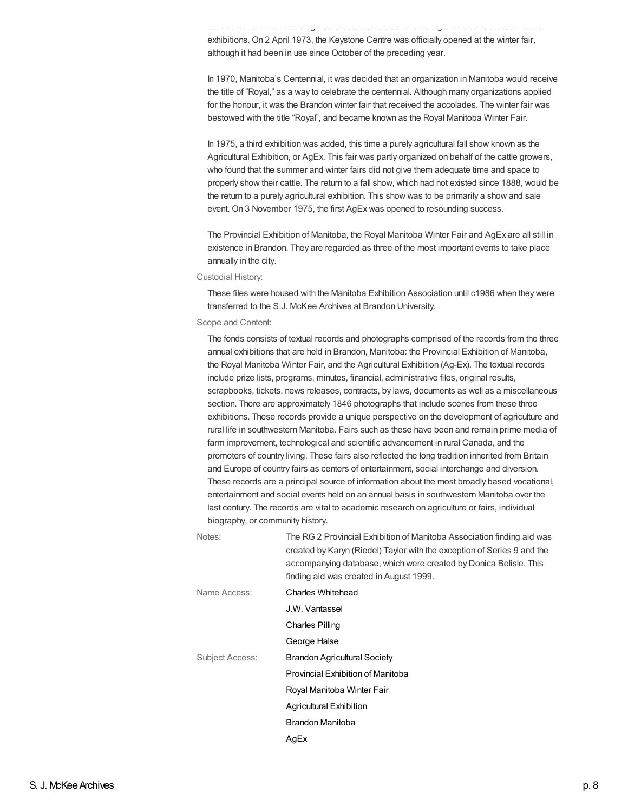summer fairs. A new building was erected on the summer fair grounds to house both of the exhibitions. On 2 April 1973, the Keystone Centre was officially opened at the winter fair, although it had been in use since October of the preceding year.

In 1970, Manitoba's Centennial, it was decided that an organization in Manitoba would receive the title of "Royal," as a way to celebrate the centennial. Although many organizations applied for the honour, it was the Brandon winter fair that received the accolades. The winter fair was bestowed with the title "Royal", and became known as the Royal Manitoba Winter Fair.

In 1975, a third exhibition was added, this time a purely agricultural fall show known as the Agricultural Exhibition, or AgEx. This fair was partly organized on behalf of the cattle growers, who found that the summer and winter fairs did not give them adequate time and space to properly show their cattle. The return to a fall show, which had not existed since 1888, would be the return to a purely agricultural exhibition. This show was to be primarily a show and sale event. On 3 November 1975, the first AgEx was opened to resounding success.

The Provincial Exhibition of Manitoba, the Royal Manitoba Winter Fair and AgEx are all still in existence in Brandon. They are regarded as three of the most important events to take place annually in the city.

Custodial History:

These files were housed with the Manitoba Exhibition Association until c1986 when they were transferred to the S.J. McKee Archives at Brandon University.

Scope and Content:

The fonds consists of textual records and photographs comprised of the records from the three annual exhibitions that are held in Brandon, Manitoba: the Provincial Exhibition of Manitoba, the Royal Manitoba Winter Fair, and the Agricultural Exhibition (Ag-Ex). The textual records include prize lists, programs, minutes, financial, administrative files, original results, scrapbooks, tickets, news releases, contracts, by laws, documents as well as a miscellaneous section. There are approximately 1846 photographs that include scenes from these three exhibitions. These records provide a unique perspective on the development of agriculture and rural life in southwestern Manitoba. Fairs such as these have been and remain prime media of farm improvement, technological and scientific advancement in rural Canada, and the promoters of country living. These fairs also reflected the long tradition inherited from Britain and Europe of country fairs as centers of entertainment, social interchange and diversion. These records are a principal source of information about the most broadly based vocational, entertainment and social events held on an annual basis in southwestern Manitoba over the last century. The records are vital to academic research on agriculture or fairs, individual biography, or community history.

| Notes:          | The RG 2 Provincial Exhibition of Manitoba Association finding aid was<br>created by Karyn (Riedel) Taylor with the exception of Series 9 and the<br>accompanying database, which were created by Donica Belisle. This<br>finding aid was created in August 1999. |
|-----------------|-------------------------------------------------------------------------------------------------------------------------------------------------------------------------------------------------------------------------------------------------------------------|
| Name Access:    | Charles Whitehead                                                                                                                                                                                                                                                 |
|                 | J.W. Vantassel                                                                                                                                                                                                                                                    |
|                 | Charles Pilling                                                                                                                                                                                                                                                   |
|                 | George Halse                                                                                                                                                                                                                                                      |
| Subject Access: | <b>Brandon Agricultural Society</b>                                                                                                                                                                                                                               |
|                 | Provincial Exhibition of Manitoba                                                                                                                                                                                                                                 |
|                 | Royal Manitoba Winter Fair                                                                                                                                                                                                                                        |
|                 | Agricultural Exhibition                                                                                                                                                                                                                                           |
|                 | Brandon Manitoba                                                                                                                                                                                                                                                  |
|                 | AgEx                                                                                                                                                                                                                                                              |
|                 |                                                                                                                                                                                                                                                                   |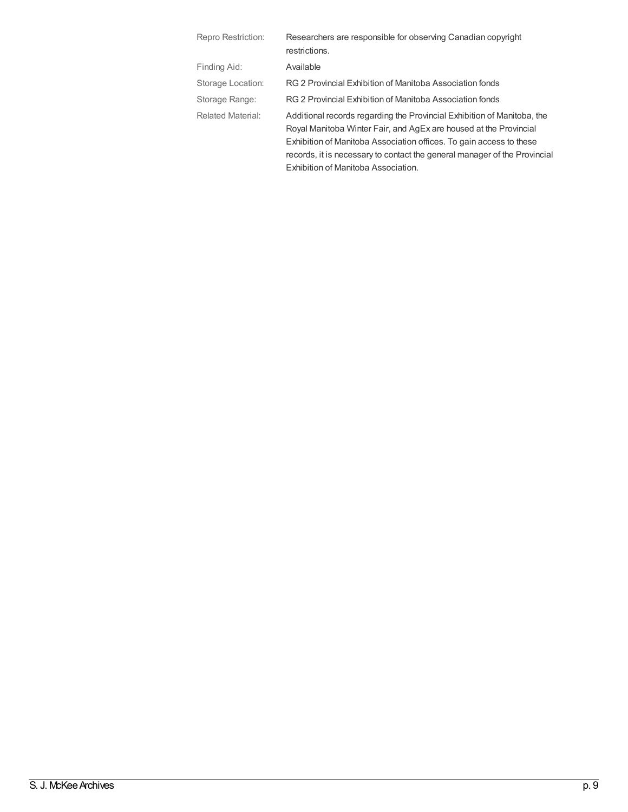| Repro Restriction:       | Researchers are responsible for observing Canadian copyright<br>restrictions.                                                                                                                                                                                                                                                           |
|--------------------------|-----------------------------------------------------------------------------------------------------------------------------------------------------------------------------------------------------------------------------------------------------------------------------------------------------------------------------------------|
| Finding Aid:             | Available                                                                                                                                                                                                                                                                                                                               |
| Storage Location:        | RG 2 Provincial Exhibition of Manitoba Association fonds                                                                                                                                                                                                                                                                                |
| Storage Range:           | RG 2 Provincial Exhibition of Manitoba Association fonds                                                                                                                                                                                                                                                                                |
| <b>Related Material:</b> | Additional records regarding the Provincial Exhibition of Manitoba, the<br>Royal Manitoba Winter Fair, and AgEx are housed at the Provincial<br>Exhibition of Manitoba Association offices. To gain access to these<br>records, it is necessary to contact the general manager of the Provincial<br>Exhibition of Manitoba Association. |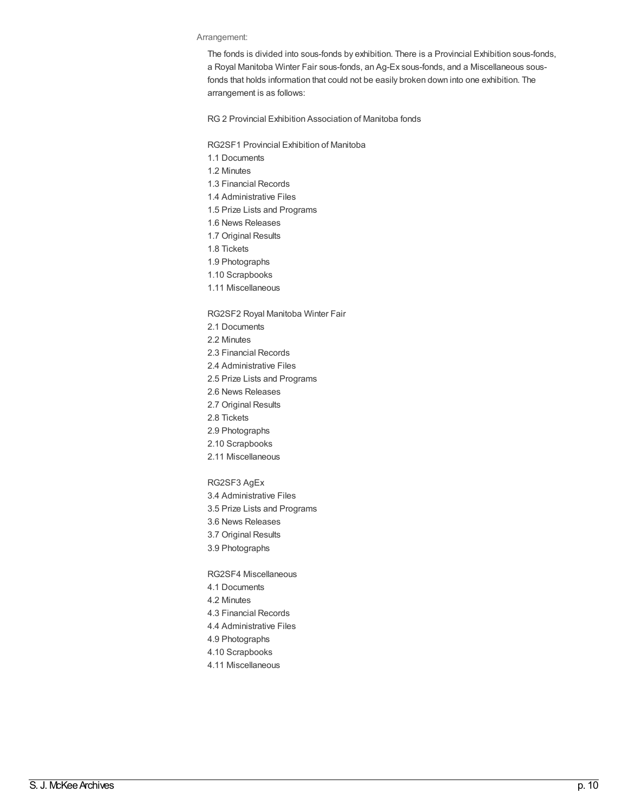#### Arrangement:

The fonds is divided into sous-fonds by exhibition. There is a Provincial Exhibition sous-fonds, a Royal Manitoba Winter Fair sous-fonds, an Ag-Ex sous-fonds, and a Miscellaneous sousfonds that holds information that could not be easily broken down into one exhibition. The arrangement is as follows:

RG 2 Provincial Exhibition Association of Manitoba fonds

RG2SF1 Provincial Exhibition of Manitoba

- 1.1 Documents
- 1.2 Minutes
- 1.3 Financial Records
- 1.4 Administrative Files
- 1.5 Prize Lists and Programs
- 1.6 News Releases
- 1.7 Original Results
- 1.8 Tickets
- 1.9 Photographs
- 1.10 Scrapbooks
- 1.11 Miscellaneous

#### RG2SF2 Royal Manitoba Winter Fair

- 2.1 Documents
- 2.2 Minutes
- 2.3 Financial Records
- 2.4 Administrative Files
- 2.5 Prize Lists and Programs
- 2.6 News Releases
- 2.7 Original Results
- 2.8 Tickets
- 2.9 Photographs
- 2.10 Scrapbooks
- 2.11 Miscellaneous
- RG2SF3 AgEx
- 3.4 Administrative Files
- 3.5 Prize Lists and Programs
- 3.6 News Releases
- 3.7 Original Results
- 3.9 Photographs
- RG2SF4 Miscellaneous
- 4.1 Documents
- 4.2 Minutes
- 4.3 Financial Records
- 4.4 Administrative Files
- 4.9 Photographs
- 4.10 Scrapbooks
- 4.11 Miscellaneous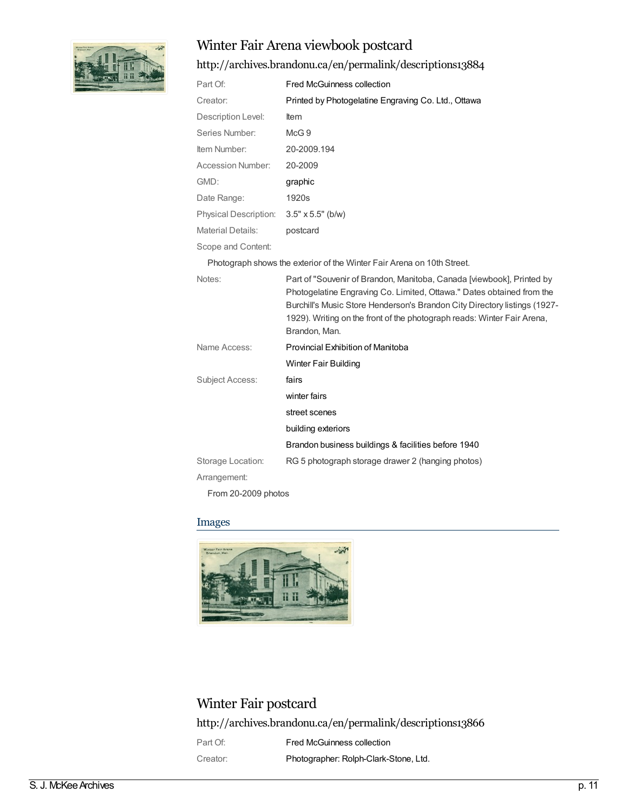

# Winter Fair Arena viewbook postcard

## <http://archives.brandonu.ca/en/permalink/descriptions13884>

| Part Of:                 | <b>Fred McGuinness collection</b>                   |
|--------------------------|-----------------------------------------------------|
| Creator:                 | Printed by Photogelatine Engraving Co. Ltd., Ottawa |
| Description Level:       | ltem                                                |
| Series Number:           | McG.9                                               |
| Item Number:             | 20-2009.194                                         |
| Accession Number:        | 20-2009                                             |
| GMD:                     | graphic                                             |
| Date Range:              | 1920s                                               |
| Physical Description:    | $3.5" \times 5.5"$ (b/w)                            |
| <b>Material Details:</b> | postcard                                            |
|                          |                                                     |

Scope and Content:

Photograph shows the exterior of the Winter Fair Arena on 10th Street.

| Notes:                        | Part of "Souvenir of Brandon, Manitoba, Canada [viewbook], Printed by<br>Photogelatine Engraving Co. Limited, Ottawa." Dates obtained from the<br>Burchill's Music Store Henderson's Brandon City Directory listings (1927-<br>1929). Writing on the front of the photograph reads: Winter Fair Arena,<br>Brandon, Man. |
|-------------------------------|-------------------------------------------------------------------------------------------------------------------------------------------------------------------------------------------------------------------------------------------------------------------------------------------------------------------------|
| Name Access:                  | Provincial Exhibition of Manitoba                                                                                                                                                                                                                                                                                       |
|                               | Winter Fair Building                                                                                                                                                                                                                                                                                                    |
| <b>Subject Access:</b>        | fairs                                                                                                                                                                                                                                                                                                                   |
|                               | winter fairs                                                                                                                                                                                                                                                                                                            |
|                               | street scenes                                                                                                                                                                                                                                                                                                           |
|                               | building exteriors                                                                                                                                                                                                                                                                                                      |
|                               | Brandon business buildings & facilities before 1940                                                                                                                                                                                                                                                                     |
| Storage Location:             | RG 5 photograph storage drawer 2 (hanging photos)                                                                                                                                                                                                                                                                       |
| Arrangement:                  |                                                                                                                                                                                                                                                                                                                         |
| $F_{\text{max}}$ 00.000 $\mu$ |                                                                                                                                                                                                                                                                                                                         |

From 20-2009 photos

### Images



# Winter Fair postcard

<http://archives.brandonu.ca/en/permalink/descriptions13866>

| Part Of: | Fred McGuinness collection            |
|----------|---------------------------------------|
| Creator: | Photographer: Rolph-Clark-Stone, Ltd. |